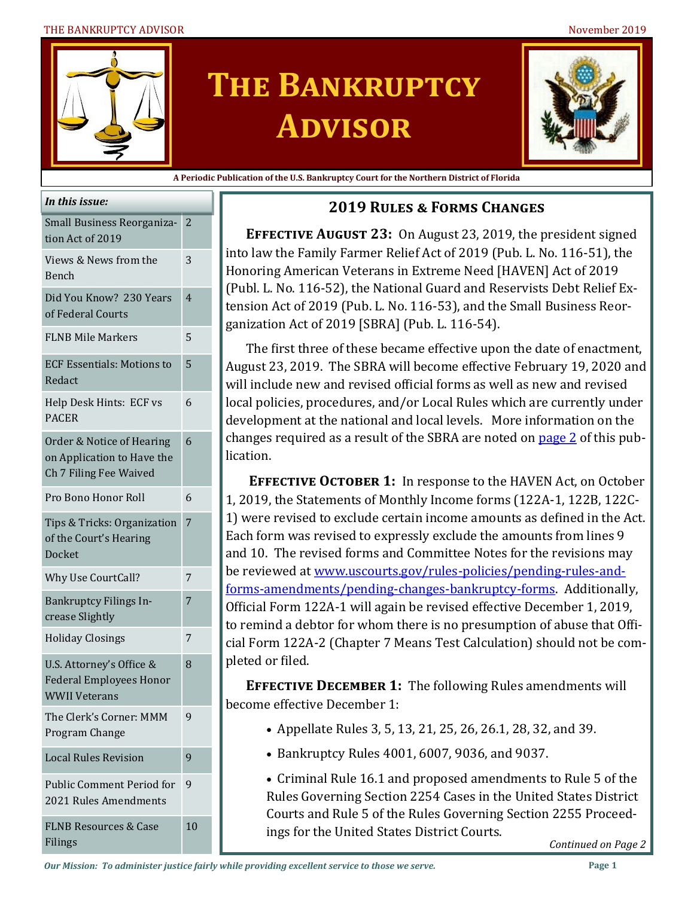#### THE BANKRUPTCY ADVISOR November 2019



# **The Bankruptcy Advisor**



**A Periodic Publication of the U.S. Bankruptcy Court for the Northern District of Florida**

#### *In this issue:*

| <b>Small Business Reorganiza-</b><br>tion Act of 2019                              | 2              |
|------------------------------------------------------------------------------------|----------------|
| Views & News from the<br>Bench                                                     | 3              |
| Did You Know? 230 Years<br>of Federal Courts                                       | $\overline{4}$ |
| <b>FLNB Mile Markers</b>                                                           | 5              |
| <b>ECF Essentials: Motions to</b><br>Redact                                        | 5              |
| Help Desk Hints: ECF vs<br><b>PACER</b>                                            | 6              |
| Order & Notice of Hearing<br>on Application to Have the<br>Ch 7 Filing Fee Waived  | 6              |
| Pro Bono Honor Roll                                                                | 6              |
| Tips & Tricks: Organization<br>of the Court's Hearing<br>Docket                    | 7              |
| Why Use CourtCall?                                                                 | 7              |
| <b>Bankruptcy Filings In-</b><br>crease Slightly                                   | 7              |
| <b>Holiday Closings</b>                                                            | 7              |
| U.S. Attorney's Office &<br><b>Federal Employees Honor</b><br><b>WWII Veterans</b> | 8              |
| The Clerk's Corner: MMM<br>Program Change                                          | 9              |
| <b>Local Rules Revision</b>                                                        | 9              |
| <b>Public Comment Period for</b><br>2021 Rules Amendments                          | 9              |
| <b>FLNB Resources &amp; Case</b><br>Filings                                        | 10             |

#### **2019 Rules & Forms Changes**

**EFFECTIVE AUGUST 23: On August 23, 2019, the president signed** into law the Family Farmer Relief Act of 2019 (Pub. L. No. 116-51), the Honoring American Veterans in Extreme Need [HAVEN] Act of 2019 (Publ. L. No. 116-52), the National Guard and Reservists Debt Relief Extension Act of 2019 (Pub. L. No. 116-53), and the Small Business Reorganization Act of 2019 [SBRA] (Pub. L. 116-54).

The first three of these became effective upon the date of enactment, August 23, 2019. The SBRA will become effective February 19, 2020 and will include new and revised official forms as well as new and revised local policies, procedures, and/or Local Rules which are currently under development at the national and local levels. More information on the changes required as a result of the SBRA are noted on page 2 of this publication.

**EFFECTIVE OCTOBER 1:** In response to the HAVEN Act, on October 1, 2019, the Statements of Monthly Income forms (122A-1, 122B, 122C-1) were revised to exclude certain income amounts as defined in the Act. Each form was revised to expressly exclude the amounts from lines 9 and 10. The revised forms and Committee Notes for the revisions may be reviewed at www.uscourts.gov/rules-policies/pending-rules-andforms-amendments/pending-changes-bankruptcy-forms. Additionally, Official Form 122A-1 will again be revised effective December 1, 2019, to remind a debtor for whom there is no presumption of abuse that Official Form 122A-2 (Chapter 7 Means Test Calculation) should not be completed or filed.

**EFFECTIVE DECEMBER 1:** The following Rules amendments will become effective December 1:

- Appellate Rules 3, 5, 13, 21, 25, 26, 26.1, 28, 32, and 39.
- Bankruptcy Rules 4001, 6007, 9036, and 9037.

• Criminal Rule 16.1 and proposed amendments to Rule 5 of the Rules Governing Section 2254 Cases in the United States District Courts and Rule 5 of the Rules Governing Section 2255 Proceedings for the United States District Courts.

*Continued on Page 2*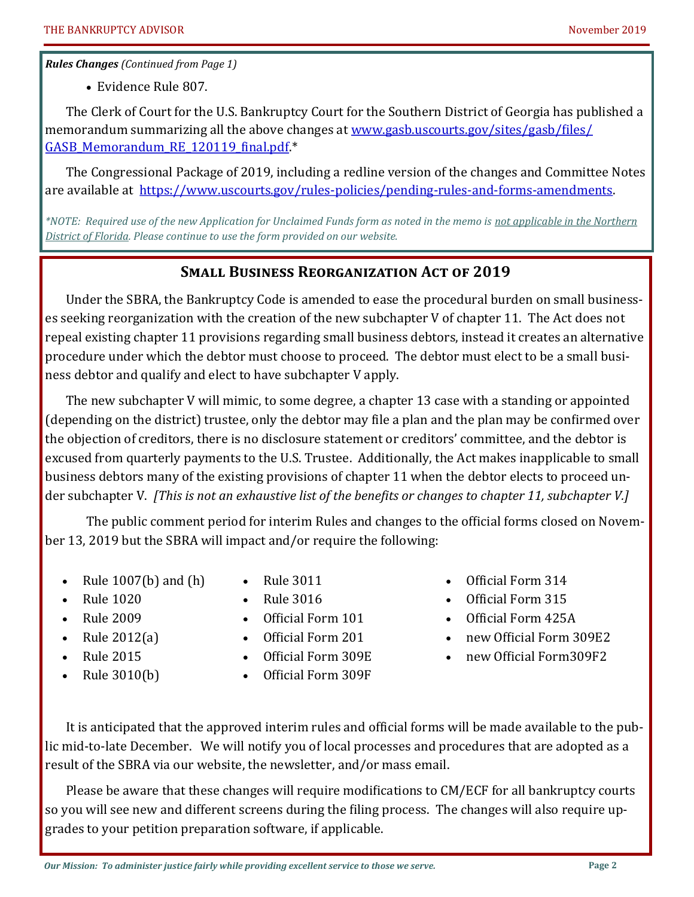*Rules Changes (Continued from Page 1)*

• Evidence Rule 807.

The Clerk of Court for the U.S. Bankruptcy Court for the Southern District of Georgia has published a memorandum summarizing all the above changes at www.gasb.uscourts.gov/sites/gasb/files/ GASB Memorandum RE 120119 final.pdf.\*

The Congressional Package of 2019, including a redline version of the changes and Committee Notes are available at https://www.uscourts.gov/rules-policies/pending-rules-and-forms-amendments.

*\*NOTE: Required use of the new Application for Unclaimed Funds form as noted in the memo is not applicable in the Northern District of Florida. Please continue to use the form provided on our website.*

#### **Small Business Reorganization Act of 2019**

Under the SBRA, the Bankruptcy Code is amended to ease the procedural burden on small businesses seeking reorganization with the creation of the new subchapter V of chapter 11. The Act does not repeal existing chapter 11 provisions regarding small business debtors, instead it creates an alternative procedure under which the debtor must choose to proceed. The debtor must elect to be a small business debtor and qualify and elect to have subchapter V apply.

The new subchapter V will mimic, to some degree, a chapter 13 case with a standing or appointed (depending on the district) trustee, only the debtor may file a plan and the plan may be confirmed over the objection of creditors, there is no disclosure statement or creditors' committee, and the debtor is excused from quarterly payments to the U.S. Trustee. Additionally, the Act makes inapplicable to small business debtors many of the existing provisions of chapter 11 when the debtor elects to proceed under subchapter V. *[This is not an exhaustive list of the benefits or changes to chapter 11, subchapter V.]*

The public comment period for interim Rules and changes to the official forms closed on November 13, 2019 but the SBRA will impact and/or require the following:

- Rule  $1007(b)$  and  $(h)$
- Rule 1020
- Rule 2009
- Rule 2012(a)
- Rule 2015
- Rule 3010(b)
- Rule 3011
- Rule 3016
- Official Form 101
- Official Form 201
- Official Form 309E
- Official Form 309F
- Official Form 314
- Official Form 315
- Official Form 425A
- new Official Form 309E2
- new Official Form309F2

It is anticipated that the approved interim rules and official forms will be made available to the public mid-to-late December. We will notify you of local processes and procedures that are adopted as a result of the SBRA via our website, the newsletter, and/or mass email.

Please be aware that these changes will require modifications to CM/ECF for all bankruptcy courts so you will see new and different screens during the filing process. The changes will also require upgrades to your petition preparation software, if applicable.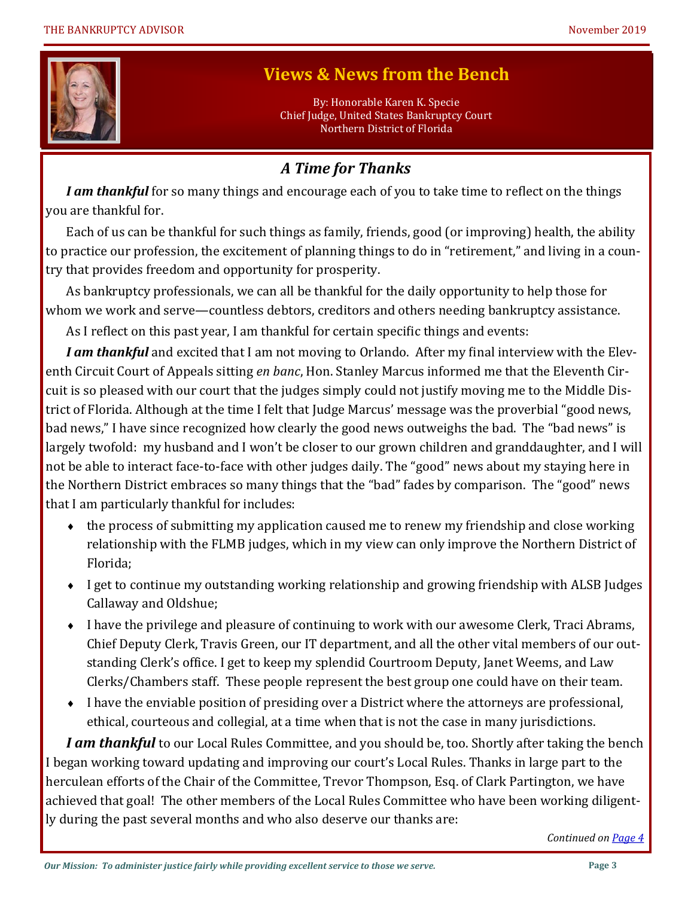

## **Views & News from the Bench**

By: Honorable Karen K. Specie Chief Judge, United States Bankruptcy Court Northern District of Florida

#### *A Time for Thanks*

*I am thankful* for so many things and encourage each of you to take time to reflect on the things you are thankful for.

Each of us can be thankful for such things as family, friends, good (or improving) health, the ability to practice our profession, the excitement of planning things to do in "retirement," and living in a country that provides freedom and opportunity for prosperity.

As bankruptcy professionals, we can all be thankful for the daily opportunity to help those for whom we work and serve—countless debtors, creditors and others needing bankruptcy assistance.

As I reflect on this past year, I am thankful for certain specific things and events:

*I am thankful* and excited that I am not moving to Orlando. After my final interview with the Eleventh Circuit Court of Appeals sitting *en banc*, Hon. Stanley Marcus informed me that the Eleventh Circuit is so pleased with our court that the judges simply could not justify moving me to the Middle District of Florida. Although at the time I felt that Judge Marcus' message was the proverbial "good news, bad news," I have since recognized how clearly the good news outweighs the bad. The "bad news" is largely twofold: my husband and I won't be closer to our grown children and granddaughter, and I will not be able to interact face-to-face with other judges daily. The "good" news about my staying here in the Northern District embraces so many things that the "bad" fades by comparison. The "good" news that I am particularly thankful for includes:

- $\bullet$  the process of submitting my application caused me to renew my friendship and close working relationship with the FLMB judges, which in my view can only improve the Northern District of Florida;
- I get to continue my outstanding working relationship and growing friendship with ALSB Judges Callaway and Oldshue;
- I have the privilege and pleasure of continuing to work with our awesome Clerk, Traci Abrams, Chief Deputy Clerk, Travis Green, our IT department, and all the other vital members of our outstanding Clerk's office. I get to keep my splendid Courtroom Deputy, Janet Weems, and Law Clerks/Chambers staff. These people represent the best group one could have on their team.
- I have the enviable position of presiding over a District where the attorneys are professional, ethical, courteous and collegial, at a time when that is not the case in many jurisdictions.

*I am thankful* to our Local Rules Committee, and you should be, too. Shortly after taking the bench I began working toward updating and improving our court's Local Rules. Thanks in large part to the herculean efforts of the Chair of the Committee, Trevor Thompson, Esq. of Clark Partington, we have achieved that goal! The other members of the Local Rules Committee who have been working diligently during the past several months and who also deserve our thanks are:

*Continued on Page 4*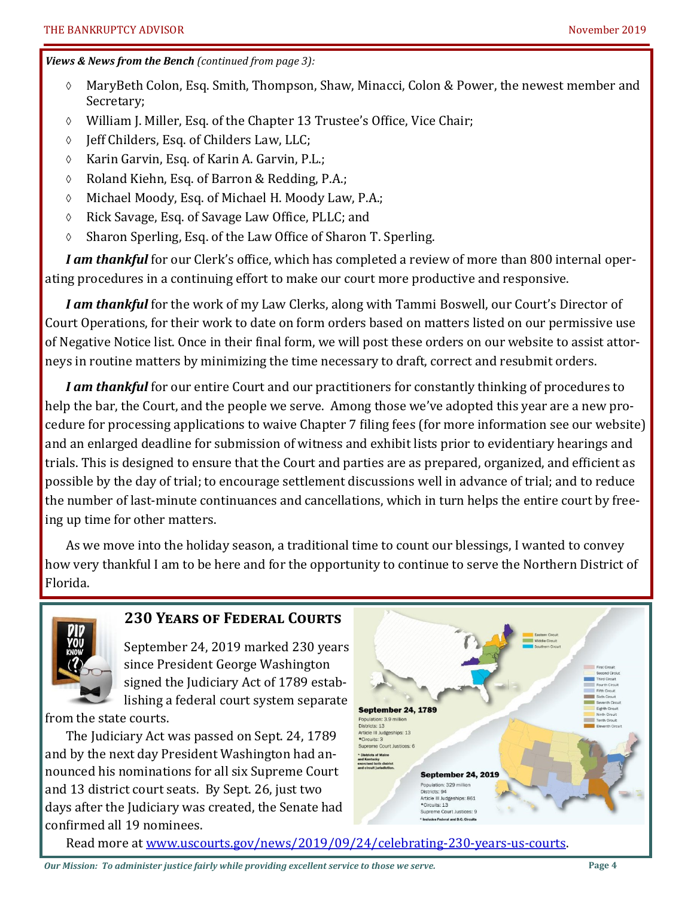*Views & News from the Bench (continued from page 3):*

- MaryBeth Colon, Esq. Smith, Thompson, Shaw, Minacci, Colon & Power, the newest member and Secretary;
- William J. Miller, Esq. of the Chapter 13 Trustee's Office, Vice Chair;
- $\lozenge$  Jeff Childers, Esq. of Childers Law, LLC;
- Karin Garvin, Esq. of Karin A. Garvin, P.L.;
- Roland Kiehn, Esq. of Barron & Redding, P.A.;
- Michael Moody, Esq. of Michael H. Moody Law, P.A.;
- Rick Savage, Esq. of Savage Law Office, PLLC; and
- $\lozenge$  Sharon Sperling, Esq. of the Law Office of Sharon T. Sperling.

*I am thankful* for our Clerk's office, which has completed a review of more than 800 internal operating procedures in a continuing effort to make our court more productive and responsive.

*I am thankful* for the work of my Law Clerks, along with Tammi Boswell, our Court's Director of Court Operations, for their work to date on form orders based on matters listed on our permissive use of Negative Notice list. Once in their final form, we will post these orders on our website to assist attorneys in routine matters by minimizing the time necessary to draft, correct and resubmit orders.

*I am thankful* for our entire Court and our practitioners for constantly thinking of procedures to help the bar, the Court, and the people we serve. Among those we've adopted this year are a new procedure for processing applications to waive Chapter 7 filing fees (for more information see our website) and an enlarged deadline for submission of witness and exhibit lists prior to evidentiary hearings and trials. This is designed to ensure that the Court and parties are as prepared, organized, and efficient as possible by the day of trial; to encourage settlement discussions well in advance of trial; and to reduce the number of last-minute continuances and cancellations, which in turn helps the entire court by freeing up time for other matters.

As we move into the holiday season, a traditional time to count our blessings, I wanted to convey how very thankful I am to be here and for the opportunity to continue to serve the Northern District of Florida.



#### **230 Years of Federal Courts**

September 24, 2019 marked 230 years since President George Washington signed the Judiciary Act of 1789 establishing a federal court system separate

from the state courts.

The Judiciary Act was passed on Sept. 24, 1789 and by the next day President Washington had announced his nominations for all six Supreme Court and 13 district court seats. By Sept. 26, just two days after the Judiciary was created, the Senate had confirmed all 19 nominees.



Read more at www.uscourts.gov/news/2019/09/24/celebrating-230-years-us-courts.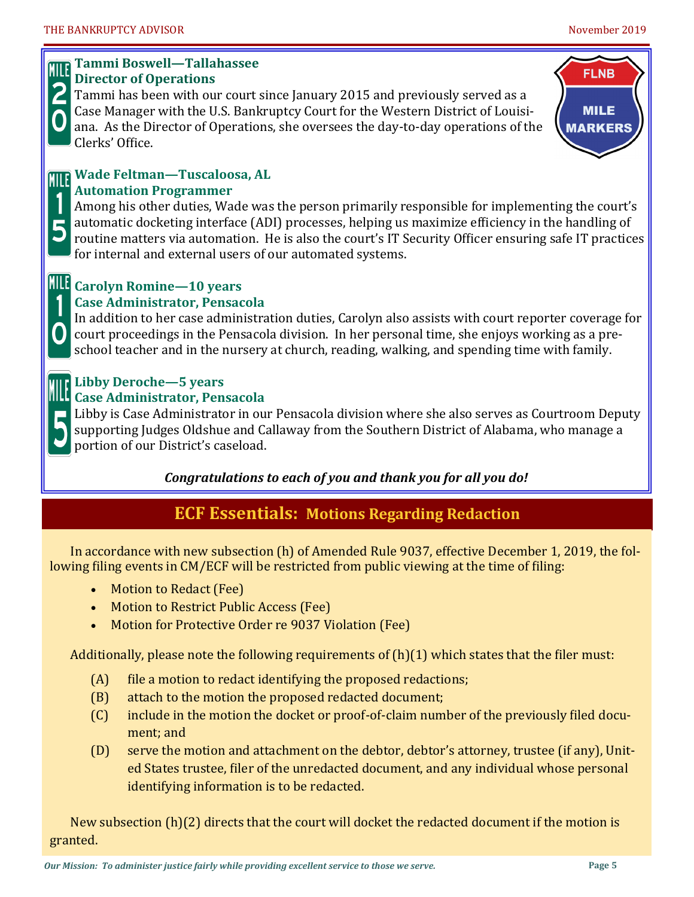#### **Tammi Boswell—Tallahassee** MILEI **Director of Operations** 2

Tammi has been with our court since January 2015 and previously served as a Case Manager with the U.S. Bankruptcy Court for the Western District of Louisiana. As the Director of Operations, she oversees the day-to-day operations of the Clerks' Office.



#### **Wade Feltman—Tuscaloosa, AL Automation Programmer**

Among his other duties, Wade was the person primarily responsible for implementing the court's automatic docketing interface (ADI) processes, helping us maximize efficiency in the handling of routine matters via automation. He is also the court's IT Security Officer ensuring safe IT practices for internal and external users of our automated systems.



# **Carolyn Romine—10 years**

**Case Administrator, Pensacola** In addition to her case administration duties, Carolyn also assists with court reporter coverage for court proceedings in the Pensacola division. In her personal time, she enjoys working as a preschool teacher and in the nursery at church, reading, walking, and spending time with family.

#### **Libby Deroche—5 years**

#### **Case Administrator, Pensacola**

Libby is Case Administrator in our Pensacola division where she also serves as Courtroom Deputy supporting Judges Oldshue and Callaway from the Southern District of Alabama, who manage a portion of our District's caseload.

#### *Congratulations to each of you and thank you for all you do!*

## **ECF Essentials: Motions Regarding Redaction**

In accordance with new subsection (h) of Amended Rule 9037, effective December 1, 2019, the following filing events in CM/ECF will be restricted from public viewing at the time of filing:

- Motion to Redact (Fee)
- Motion to Restrict Public Access (Fee)
- Motion for Protective Order re 9037 Violation (Fee)

Additionally, please note the following requirements of (h)(1) which states that the filer must:

- (A) file a motion to redact identifying the proposed redactions;
- (B) attach to the motion the proposed redacted document;
- (C) include in the motion the docket or proof-of-claim number of the previously filed document; and
- (D) serve the motion and attachment on the debtor, debtor's attorney, trustee (if any), United States trustee, filer of the unredacted document, and any individual whose personal identifying information is to be redacted.

New subsection (h)(2) directs that the court will docket the redacted document if the motion is granted.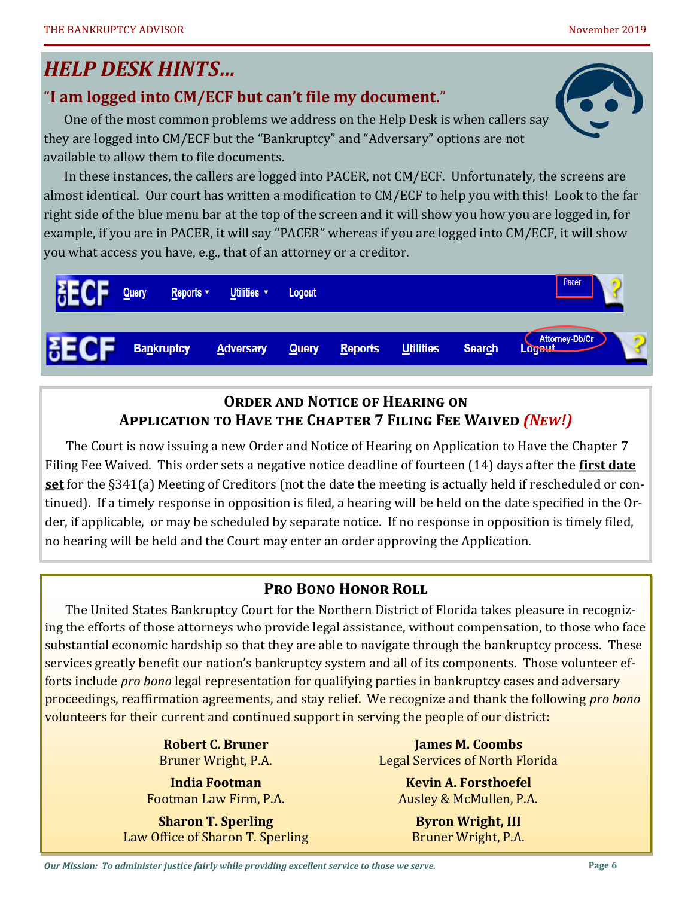# *HELP DESK HINTS…*

## "**I am logged into CM/ECF but can't file my document.**"

One of the most common problems we address on the Help Desk is when callers say they are logged into CM/ECF but the "Bankruptcy" and "Adversary" options are not available to allow them to file documents.

In these instances, the callers are logged into PACER, not CM/ECF. Unfortunately, the screens are almost identical. Our court has written a modification to CM/ECF to help you with this! Look to the far right side of the blue menu bar at the top of the screen and it will show you how you are logged in, for example, if you are in PACER, it will say "PACER" whereas if you are logged into CM/ECF, it will show you what access you have, e.g., that of an attorney or a creditor.



#### **Order and Notice of Hearing on Application to Have the Chapter 7 Filing Fee Waived** *(New!)*

The Court is now issuing a new Order and Notice of Hearing on Application to Have the Chapter 7 Filing Fee Waived. This order sets a negative notice deadline of fourteen (14) days after the **first date set** for the §341(a) Meeting of Creditors (not the date the meeting is actually held if rescheduled or continued). If a timely response in opposition is filed, a hearing will be held on the date specified in the Order, if applicable, or may be scheduled by separate notice. If no response in opposition is timely filed, no hearing will be held and the Court may enter an order approving the Application.

## **Pro Bono Honor Roll**

The United States Bankruptcy Court for the Northern District of Florida takes pleasure in recognizing the efforts of those attorneys who provide legal assistance, without compensation, to those who face substantial economic hardship so that they are able to navigate through the bankruptcy process. These services greatly benefit our nation's bankruptcy system and all of its components. Those volunteer efforts include *pro bono* legal representation for qualifying parties in bankruptcy cases and adversary proceedings, reaffirmation agreements, and stay relief. We recognize and thank the following *pro bono*  volunteers for their current and continued support in serving the people of our district:

> **Robert C. Bruner** Bruner Wright, P.A.

**India Footman** Footman Law Firm, P.A.

**Sharon T. Sperling** Law Office of Sharon T. Sperling

**James M. Coombs** Legal Services of North Florida

> **Kevin A. Forsthoefel** Ausley & McMullen, P.A.

**Byron Wright, III** Bruner Wright, P.A.

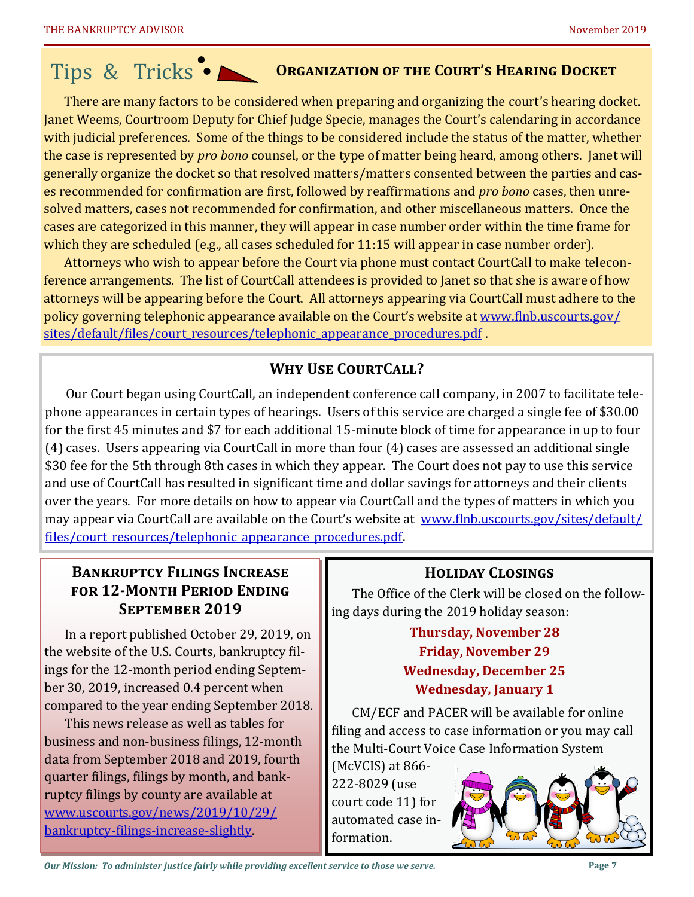# Tips & Tricks • **ORGANIZATION OF THE COURT'S HEARING DOCKET**

There are many factors to be considered when preparing and organizing the court's hearing docket. Janet Weems, Courtroom Deputy for Chief Judge Specie, manages the Court's calendaring in accordance with judicial preferences. Some of the things to be considered include the status of the matter, whether the case is represented by *pro bono* counsel, or the type of matter being heard, among others. Janet will generally organize the docket so that resolved matters/matters consented between the parties and cases recommended for confirmation are first, followed by reaffirmations and *pro bono* cases, then unresolved matters, cases not recommended for confirmation, and other miscellaneous matters. Once the cases are categorized in this manner, they will appear in case number order within the time frame for which they are scheduled (e.g., all cases scheduled for 11:15 will appear in case number order).

Attorneys who wish to appear before the Court via phone must contact CourtCall to make teleconference arrangements. The list of CourtCall attendees is provided to Janet so that she is aware of how attorneys will be appearing before the Court. All attorneys appearing via CourtCall must adhere to the policy governing telephonic appearance available on the Court's website at www.flnb.uscourts.gov/ sites/default/files/court\_resources/telephonic\_appearance\_procedures.pdf.

#### WHY USE COURTCALL?

Our Court began using CourtCall, an independent conference call company, in 2007 to facilitate telephone appearances in certain types of hearings. Users of this service are charged a single fee of \$30.00 for the first 45 minutes and \$7 for each additional 15-minute block of time for appearance in up to four (4) cases. Users appearing via CourtCall in more than four (4) cases are assessed an additional single \$30 fee for the 5th through 8th cases in which they appear. The Court does not pay to use this service and use of CourtCall has resulted in significant time and dollar savings for attorneys and their clients over the years. For more details on how to appear via CourtCall and the types of matters in which you may appear via CourtCall are available on the Court's website at www.flnb.uscourts.gov/sites/default/ files/court\_resources/telephonic\_appearance\_procedures.pdf.

#### **Bankruptcy Filings Increase for 12-Month Period Ending September 2019**

In a report published October 29, 2019, on the website of the U.S. Courts, bankruptcy filings for the 12-month period ending September 30, 2019, increased 0.4 percent when compared to the year ending September 2018.

This news release as well as tables for business and non-business filings, 12-month data from September 2018 and 2019, fourth quarter filings, filings by month, and bankruptcy filings by county are available at www.uscourts.gov/news/2019/10/29/ bankruptcy-filings-increase-slightly.

#### **Holiday Closings**

The Office of the Clerk will be closed on the following days during the 2019 holiday season:

#### **Thursday, November 28 Friday, November 29 Wednesday, December 25 Wednesday, January 1**

CM/ECF and PACER will be available for online filing and access to case information or you may call the Multi-Court Voice Case Information System

(McVCIS) at 866- 222-8029 (use court code 11) for automated case information.

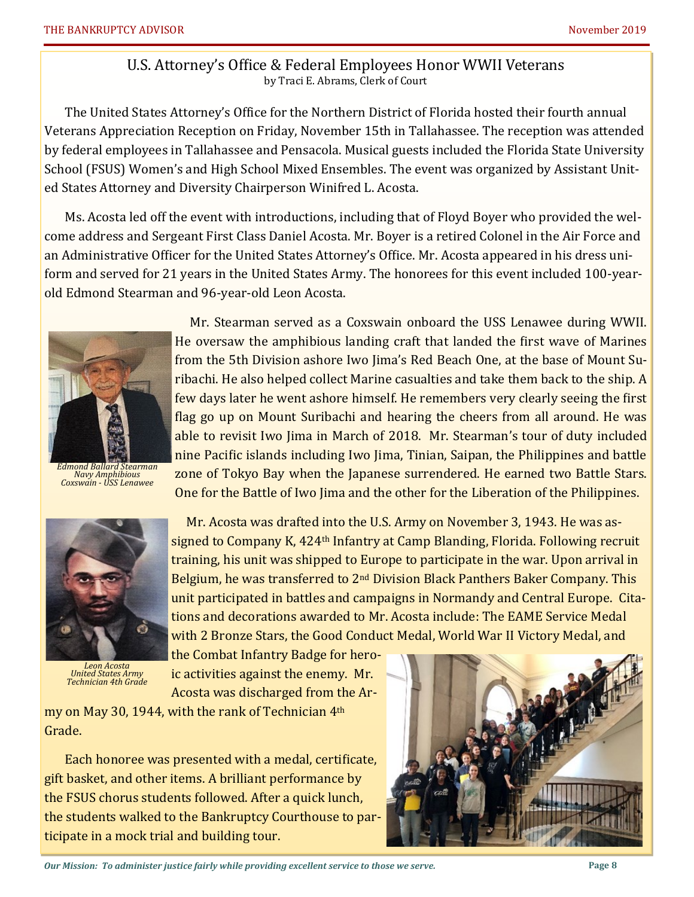#### U.S. Attorney's Office & Federal Employees Honor WWII Veterans by Traci E. Abrams, Clerk of Court

The United States Attorney's Office for the Northern District of Florida hosted their fourth annual Veterans Appreciation Reception on Friday, November 15th in Tallahassee. The reception was attended by federal employees in Tallahassee and Pensacola. Musical guests included the Florida State University School (FSUS) Women's and High School Mixed Ensembles. The event was organized by Assistant United States Attorney and Diversity Chairperson Winifred L. Acosta.

Ms. Acosta led off the event with introductions, including that of Floyd Boyer who provided the welcome address and Sergeant First Class Daniel Acosta. Mr. Boyer is a retired Colonel in the Air Force and an Administrative Officer for the United States Attorney's Office. Mr. Acosta appeared in his dress uniform and served for 21 years in the United States Army. The honorees for this event included 100-yearold Edmond Stearman and 96-year-old Leon Acosta.



*Edmond Ballard Stearman Navy Amphibious Coxswain - USS Lenawee*



*Leon Acosta United States Army Technician 4th Grade*

 Mr. Stearman served as a Coxswain onboard the USS Lenawee during WWII. He oversaw the amphibious landing craft that landed the first wave of Marines from the 5th Division ashore Iwo Jima's Red Beach One, at the base of Mount Suribachi. He also helped collect Marine casualties and take them back to the ship. A few days later he went ashore himself. He remembers very clearly seeing the first flag go up on Mount Suribachi and hearing the cheers from all around. He was able to revisit Iwo Jima in March of 2018. Mr. Stearman's tour of duty included nine Pacific islands including Iwo Jima, Tinian, Saipan, the Philippines and battle zone of Tokyo Bay when the Japanese surrendered. He earned two Battle Stars. One for the Battle of Iwo Jima and the other for the Liberation of the Philippines.

 Mr. Acosta was drafted into the U.S. Army on November 3, 1943. He was assigned to Company K, 424<sup>th</sup> Infantry at Camp Blanding, Florida. Following recruit training, his unit was shipped to Europe to participate in the war. Upon arrival in Belgium, he was transferred to 2nd Division Black Panthers Baker Company. This unit participated in battles and campaigns in Normandy and Central Europe. Citations and decorations awarded to Mr. Acosta include: The EAME Service Medal with 2 Bronze Stars, the Good Conduct Medal, World War II Victory Medal, and

the Combat Infantry Badge for heroic activities against the enemy. Mr. Acosta was discharged from the Ar-

my on May 30, 1944, with the rank of Technician 4th Grade.

Each honoree was presented with a medal, certificate, gift basket, and other items. A brilliant performance by the FSUS chorus students followed. After a quick lunch, the students walked to the Bankruptcy Courthouse to participate in a mock trial and building tour.

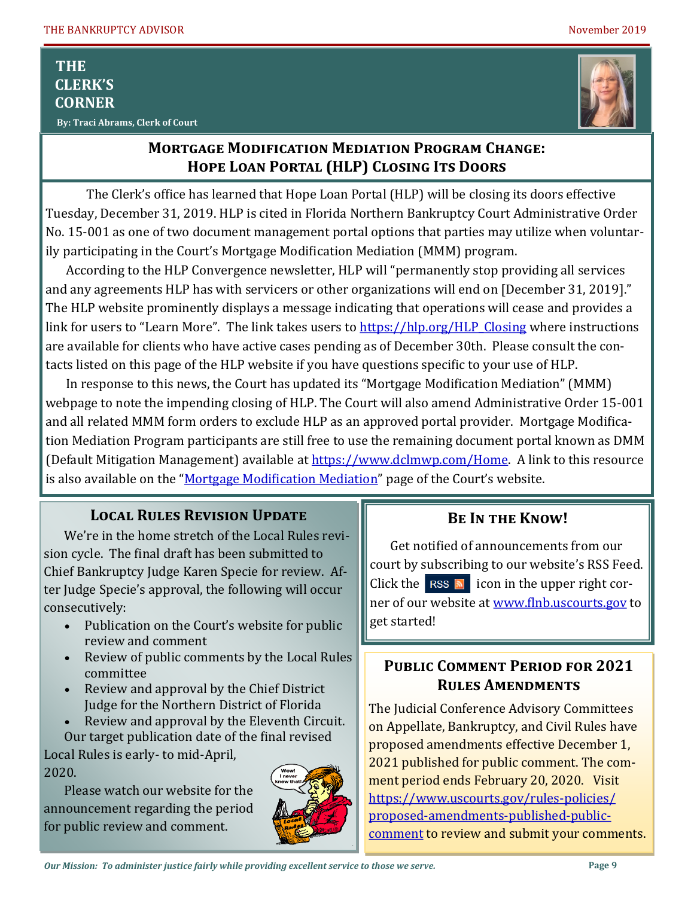#### **THE CLERK'S CORNER**

Ī

 **By: Traci Abrams, Clerk of Court** 



#### **Mortgage Modification Mediation Program Change: Hope Loan Portal (HLP) Closing Its Doors**

The Clerk's office has learned that Hope Loan Portal (HLP) will be closing its doors effective Tuesday, December 31, 2019. HLP is cited in Florida Northern Bankruptcy Court Administrative Order No. 15-001 as one of two document management portal options that parties may utilize when voluntarily participating in the Court's Mortgage Modification Mediation (MMM) program.

According to the HLP Convergence newsletter, HLP will "permanently stop providing all services and any agreements HLP has with servicers or other organizations will end on [December 31, 2019]." The HLP website prominently displays a message indicating that operations will cease and provides a link for users to "Learn More". The link takes users to https://hlp.org/HLP\_Closing where instructions are available for clients who have active cases pending as of December 30th. Please consult the contacts listed on this page of the HLP website if you have questions specific to your use of HLP.

In response to this news, the Court has updated its "Mortgage Modification Mediation" (MMM) webpage to note the impending closing of HLP. The Court will also amend Administrative Order 15-001 and all related MMM form orders to exclude HLP as an approved portal provider. Mortgage Modification Mediation Program participants are still free to use the remaining document portal known as DMM (Default Mitigation Management) available at https://www.dclmwp.com/Home. A link to this resource is also available on the "Mortgage Modification Mediation" page of the Court's website.

#### **Local Rules Revision Update**

We're in the home stretch of the Local Rules revision cycle. The final draft has been submitted to Chief Bankruptcy Judge Karen Specie for review. After Judge Specie's approval, the following will occur consecutively:

- Publication on the Court's website for public review and comment
- Review of public comments by the Local Rules committee
- Review and approval by the Chief District Judge for the Northern District of Florida
- Review and approval by the Eleventh Circuit. Our target publication date of the final revised

Local Rules is early- to mid-April, 2020.

Please watch our website for the announcement regarding the period for public review and comment.



#### **Be In the Know!**

Get notified of announcements from our court by subscribing to our website's RSS Feed. Click the icon in the upper right corner of our website at www.flnb.uscourts.gov to get started!

#### **Public Comment Period for 2021 Rules Amendments**

The Judicial Conference Advisory Committees on Appellate, Bankruptcy, and Civil Rules have proposed amendments effective December 1, 2021 published for public comment. The comment period ends February 20, 2020. Visit https://www.uscourts.gov/rules-policies/ proposed-amendments-published-publiccomment to review and submit your comments.